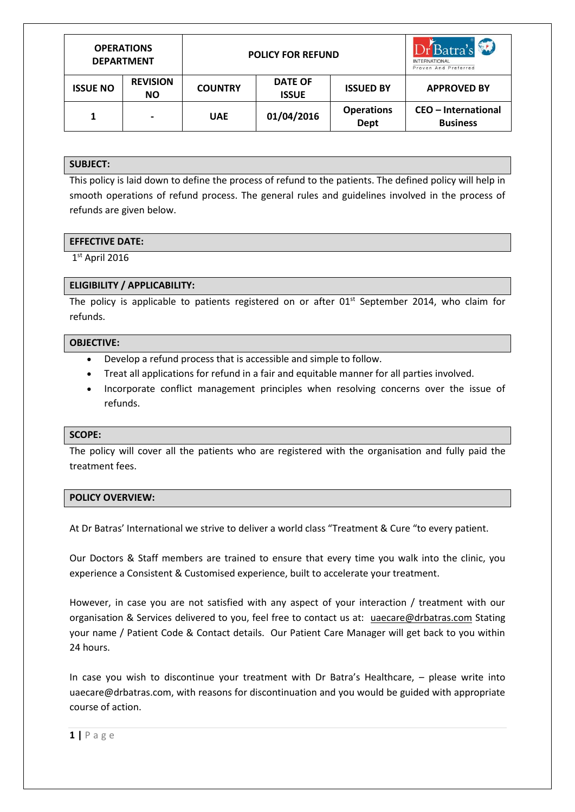| <b>OPERATIONS</b><br><b>DEPARTMENT</b> |                              | <b>POLICY FOR REFUND</b> |                                |                           | DrBatra's<br><b>INTERNATIONAL</b><br>Proven And Preferred |
|----------------------------------------|------------------------------|--------------------------|--------------------------------|---------------------------|-----------------------------------------------------------|
| <b>ISSUE NO</b>                        | <b>REVISION</b><br><b>NO</b> | <b>COUNTRY</b>           | <b>DATE OF</b><br><b>ISSUE</b> | <b>ISSUED BY</b>          | <b>APPROVED BY</b>                                        |
| 1                                      | $\blacksquare$               | <b>UAE</b>               | 01/04/2016                     | <b>Operations</b><br>Dept | <b>CEO</b> - International<br><b>Business</b>             |

# **SUBJECT:**

This policy is laid down to define the process of refund to the patients. The defined policy will help in smooth operations of refund process. The general rules and guidelines involved in the process of refunds are given below.

### **EFFECTIVE DATE:**

1 st April 2016

# **ELIGIBILITY / APPLICABILITY:**

The policy is applicable to patients registered on or after  $01<sup>st</sup>$  September 2014, who claim for refunds.

### **OBJECTIVE:**

- Develop a refund process that is accessible and simple to follow.
- Treat all applications for refund in a fair and equitable manner for all parties involved.
- Incorporate conflict management principles when resolving concerns over the issue of refunds.

#### **SCOPE:**

The policy will cover all the patients who are registered with the organisation and fully paid the treatment fees.

#### **POLICY OVERVIEW:**

At Dr Batras' International we strive to deliver a world class "Treatment & Cure "to every patient.

Our Doctors & Staff members are trained to ensure that every time you walk into the clinic, you experience a Consistent & Customised experience, built to accelerate your treatment.

However, in case you are not satisfied with any aspect of your interaction / treatment with our organisation & Services delivered to you, feel free to contact us at: [uaecare@drbatras.com](mailto:uaecare@drbatras.com) Stating your name / Patient Code & Contact details. Our Patient Care Manager will get back to you within 24 hours.

In case you wish to discontinue your treatment with Dr Batra's Healthcare, – please write into [uaecare@drbatras.com,](mailto:uaecare@drbatras.com) with reasons for discontinuation and you would be guided with appropriate course of action.